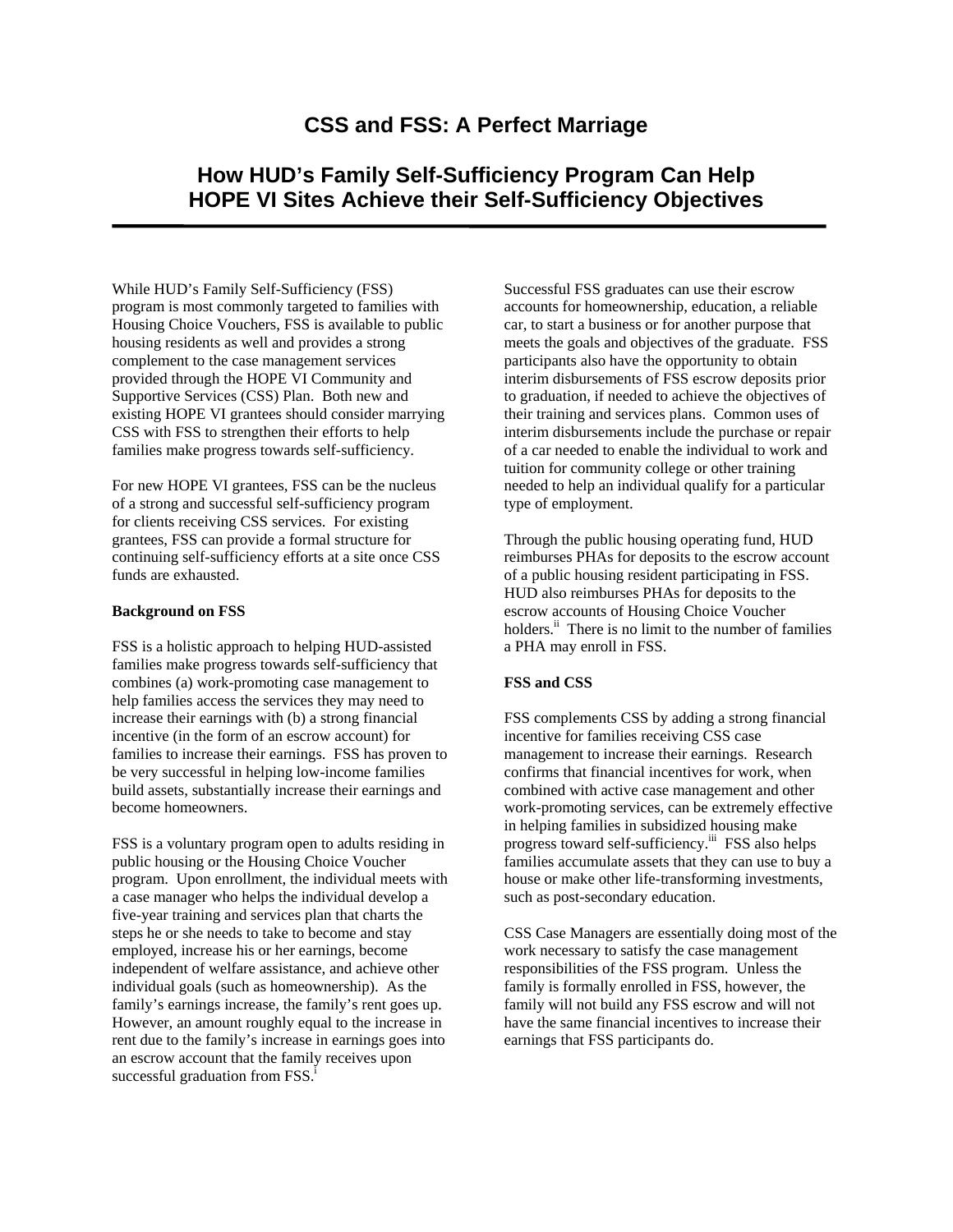# **CSS and FSS: A Perfect Marriage**

# **How HUD's Family Self-Sufficiency Program Can Help HOPE VI Sites Achieve their Self-Sufficiency Objectives**

While HUD's Family Self-Sufficiency (FSS) program is most commonly targeted to families with Housing Choice Vouchers, FSS is available to public housing residents as well and provides a strong complement to the case management services provided through the HOPE VI Community and Supportive Services (CSS) Plan. Both new and existing HOPE VI grantees should consider marrying CSS with FSS to strengthen their efforts to help families make progress towards self-sufficiency.

For new HOPE VI grantees, FSS can be the nucleus of a strong and successful self-sufficiency program for clients receiving CSS services. For existing grantees, FSS can provide a formal structure for continuing self-sufficiency efforts at a site once CSS funds are exhausted.

#### **Background on FSS**

FSS is a holistic approach to helping HUD-assisted families make progress towards self-sufficiency that combines (a) work-promoting case management to help families access the services they may need to increase their earnings with (b) a strong financial incentive (in the form of an escrow account) for families to increase their earnings. FSS has proven to be very successful in helping low-income families build assets, substantially increase their earnings and become homeowners.

FSS is a voluntary program open to adults residing in public housing or the Housing Choice Voucher program. Upon enrollment, the individual meets with a case manager who helps the individual develop a five-year training and services plan that charts the steps he or she needs to take to become and stay employed, increase his or her earnings, become independent of welfare assistance, and achieve other individual goals (such as homeownership). As the family's earnings increase, the family's rent goes up. However, an amount roughly equal to the increase in rent due to the family's increase in earnings goes into an escrow account that the family receives upon successful graduation from  $FSS$ <sup>i</sup>

Successful FSS graduates can use their escrow accounts for homeownership, education, a reliable car, to start a business or for another purpose that meets the goals and objectives of the graduate. FSS participants also have the opportunity to obtain interim disbursements of FSS escrow deposits prior to graduation, if needed to achieve the objectives of their training and services plans. Common uses of interim disbursements include the purchase or repair of a car needed to enable the individual to work and tuition for community college or other training needed to help an individual qualify for a particular type of employment.

Through the public housing operating fund, HUD reimburses PHAs for deposits to the escrow account of a public housing resident participating in FSS. HUD also reimburses PHAs for deposits to the escrow accounts of Housing Choice Voucher holders.<sup>ii</sup> There is no limit to the number of families a PHA may enroll in FSS.

### **FSS and CSS**

FSS complements CSS by adding a strong financial incentive for families receiving CSS case management to increase their earnings. Research confirms that financial incentives for work, when combined with active case management and other work-promoting services, can be extremely effective in helping families in subsidized housing make progress toward self-sufficiency.<sup>iii</sup> FSS also helps families accumulate assets that they can use to buy a house or make other life-transforming investments, such as post-secondary education.

CSS Case Managers are essentially doing most of the work necessary to satisfy the case management responsibilities of the FSS program. Unless the family is formally enrolled in FSS, however, the family will not build any FSS escrow and will not have the same financial incentives to increase their earnings that FSS participants do.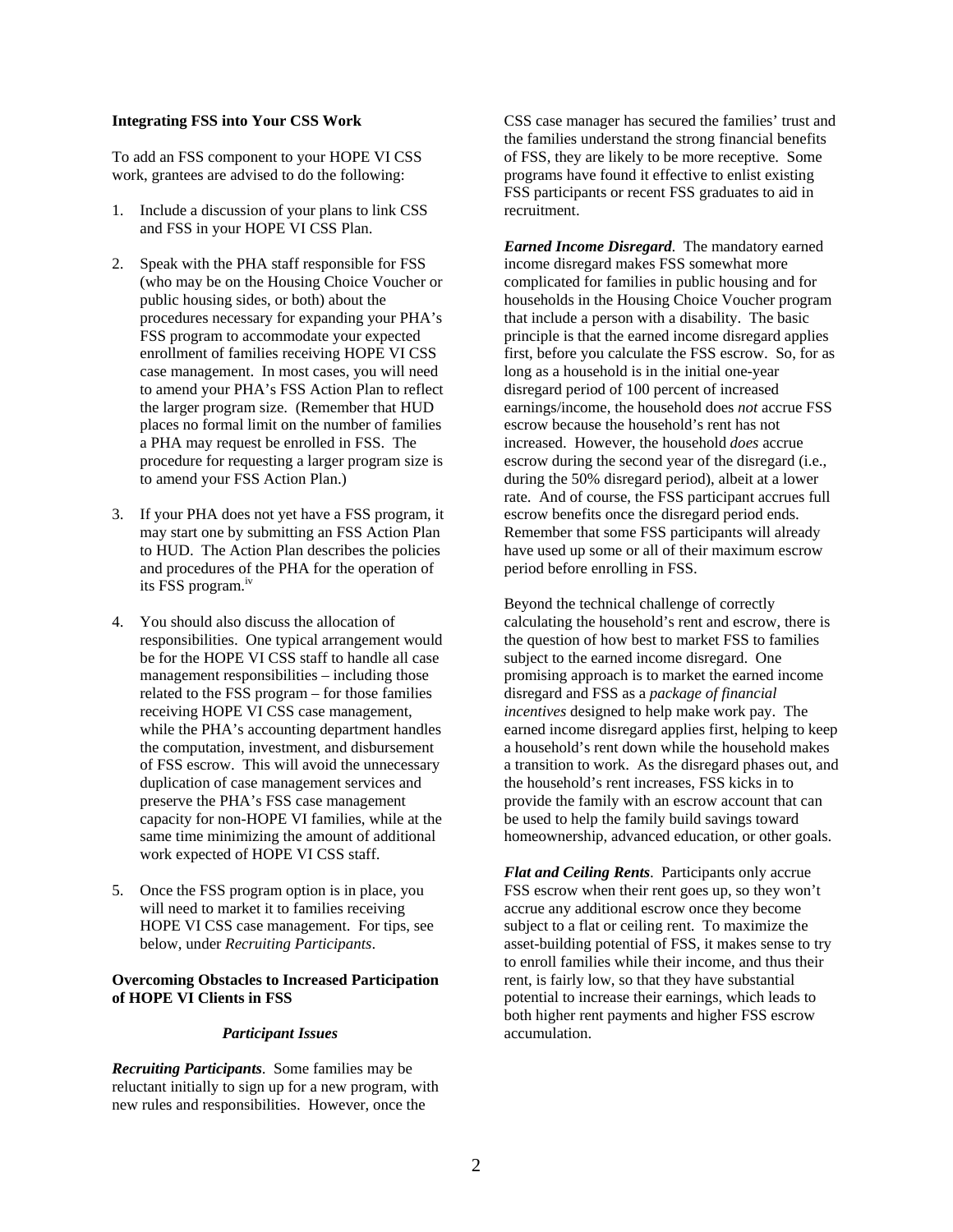#### **Integrating FSS into Your CSS Work**

To add an FSS component to your HOPE VI CSS work, grantees are advised to do the following:

- 1. Include a discussion of your plans to link CSS and FSS in your HOPE VI CSS Plan.
- 2. Speak with the PHA staff responsible for FSS (who may be on the Housing Choice Voucher or public housing sides, or both) about the procedures necessary for expanding your PHA's FSS program to accommodate your expected enrollment of families receiving HOPE VI CSS case management. In most cases, you will need to amend your PHA's FSS Action Plan to reflect the larger program size. (Remember that HUD places no formal limit on the number of families a PHA may request be enrolled in FSS. The procedure for requesting a larger program size is to amend your FSS Action Plan.)
- 3. If your PHA does not yet have a FSS program, it may start one by submitting an FSS Action Plan to HUD. The Action Plan describes the policies and procedures of the PHA for the operation of its FSS program. [iv](#page-5-3)
- 4. You should also discuss the allocation of responsibilities. One typical arrangement would be for the HOPE VI CSS staff to handle all case management responsibilities – including those related to the FSS program – for those families receiving HOPE VI CSS case management, while the PHA's accounting department handles the computation, investment, and disbursement of FSS escrow. This will avoid the unnecessary duplication of case management services and preserve the PHA's FSS case management capacity for non-HOPE VI families, while at the same time minimizing the amount of additional work expected of HOPE VI CSS staff.
- 5. Once the FSS program option is in place, you will need to market it to families receiving HOPE VI CSS case management. For tips, see below, under *Recruiting Participants*.

## **Overcoming Obstacles to Increased Participation of HOPE VI Clients in FSS**

#### *Participant Issues*

*Recruiting Participants*. Some families may be reluctant initially to sign up for a new program, with new rules and responsibilities. However, once the

CSS case manager has secured the families' trust and the families understand the strong financial benefits of FSS, they are likely to be more receptive. Some programs have found it effective to enlist existing FSS participants or recent FSS graduates to aid in recruitment.

*Earned Income Disregard*. The mandatory earned income disregard makes FSS somewhat more complicated for families in public housing and for households in the Housing Choice Voucher program that include a person with a disability. The basic principle is that the earned income disregard applies first, before you calculate the FSS escrow. So, for as long as a household is in the initial one-year disregard period of 100 percent of increased earnings/income, the household does *not* accrue FSS escrow because the household's rent has not increased. However, the household *does* accrue escrow during the second year of the disregard (i.e., during the 50% disregard period), albeit at a lower rate. And of course, the FSS participant accrues full escrow benefits once the disregard period ends. Remember that some FSS participants will already have used up some or all of their maximum escrow period before enrolling in FSS.

Beyond the technical challenge of correctly calculating the household's rent and escrow, there is the question of how best to market FSS to families subject to the earned income disregard. One promising approach is to market the earned income disregard and FSS as a *package of financial incentives* designed to help make work pay. The earned income disregard applies first, helping to keep a household's rent down while the household makes a transition to work. As the disregard phases out, and the household's rent increases, FSS kicks in to provide the family with an escrow account that can be used to help the family build savings toward homeownership, advanced education, or other goals.

*Flat and Ceiling Rents*. Participants only accrue FSS escrow when their rent goes up, so they won't accrue any additional escrow once they become subject to a flat or ceiling rent. To maximize the asset-building potential of FSS, it makes sense to try to enroll families while their income, and thus their rent, is fairly low, so that they have substantial potential to increase their earnings, which leads to both higher rent payments and higher FSS escrow accumulation.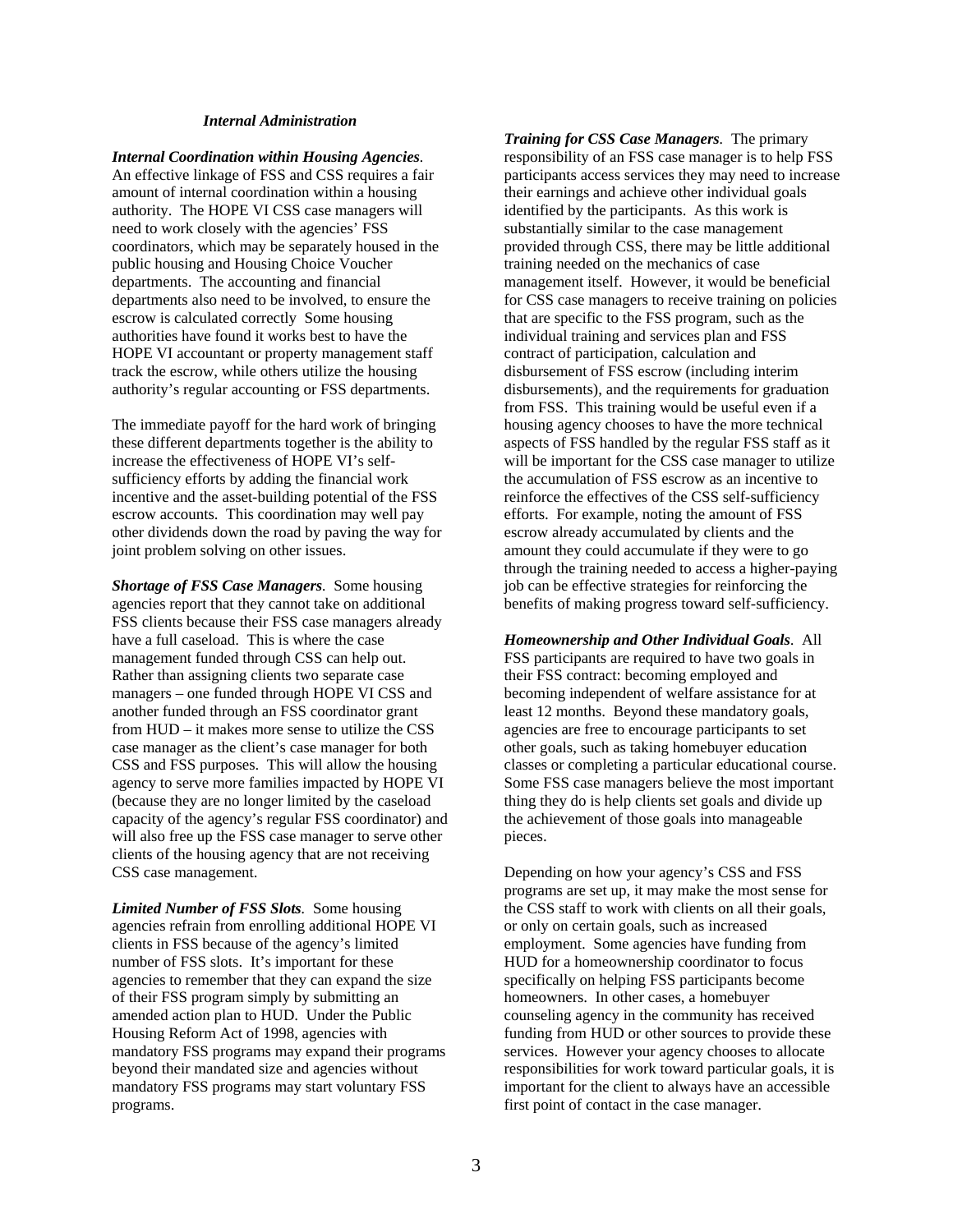#### *Internal Administration*

*Internal Coordination within Housing Agencies.* An effective linkage of FSS and CSS requires a fair amount of internal coordination within a housing authority. The HOPE VI CSS case managers will need to work closely with the agencies' FSS coordinators, which may be separately housed in the public housing and Housing Choice Voucher departments. The accounting and financial departments also need to be involved, to ensure the escrow is calculated correctly Some housing authorities have found it works best to have the HOPE VI accountant or property management staff track the escrow, while others utilize the housing authority's regular accounting or FSS departments.

The immediate payoff for the hard work of bringing these different departments together is the ability to increase the effectiveness of HOPE VI's selfsufficiency efforts by adding the financial work incentive and the asset-building potential of the FSS escrow accounts. This coordination may well pay other dividends down the road by paving the way for joint problem solving on other issues.

*Shortage of FSS Case Managers.* Some housing agencies report that they cannot take on additional FSS clients because their FSS case managers already have a full caseload. This is where the case management funded through CSS can help out. Rather than assigning clients two separate case managers – one funded through HOPE VI CSS and another funded through an FSS coordinator grant from HUD – it makes more sense to utilize the CSS case manager as the client's case manager for both CSS and FSS purposes. This will allow the housing agency to serve more families impacted by HOPE VI (because they are no longer limited by the caseload capacity of the agency's regular FSS coordinator) and will also free up the FSS case manager to serve other clients of the housing agency that are not receiving CSS case management.

*Limited Number of FSS Slots.* Some housing agencies refrain from enrolling additional HOPE VI clients in FSS because of the agency's limited number of FSS slots. It's important for these agencies to remember that they can expand the size of their FSS program simply by submitting an amended action plan to HUD. Under the Public Housing Reform Act of 1998, agencies with mandatory FSS programs may expand their programs beyond their mandated size and agencies without mandatory FSS programs may start voluntary FSS programs.

*Training for CSS Case Managers.* The primary responsibility of an FSS case manager is to help FSS participants access services they may need to increase their earnings and achieve other individual goals identified by the participants. As this work is substantially similar to the case management provided through CSS, there may be little additional training needed on the mechanics of case management itself. However, it would be beneficial for CSS case managers to receive training on policies that are specific to the FSS program, such as the individual training and services plan and FSS contract of participation, calculation and disbursement of FSS escrow (including interim disbursements), and the requirements for graduation from FSS. This training would be useful even if a housing agency chooses to have the more technical aspects of FSS handled by the regular FSS staff as it will be important for the CSS case manager to utilize the accumulation of FSS escrow as an incentive to reinforce the effectives of the CSS self-sufficiency efforts. For example, noting the amount of FSS escrow already accumulated by clients and the amount they could accumulate if they were to go through the training needed to access a higher-paying job can be effective strategies for reinforcing the benefits of making progress toward self-sufficiency.

*Homeownership and Other Individual Goals*. All FSS participants are required to have two goals in their FSS contract: becoming employed and becoming independent of welfare assistance for at least 12 months. Beyond these mandatory goals, agencies are free to encourage participants to set other goals, such as taking homebuyer education classes or completing a particular educational course. Some FSS case managers believe the most important thing they do is help clients set goals and divide up the achievement of those goals into manageable pieces.

Depending on how your agency's CSS and FSS programs are set up, it may make the most sense for the CSS staff to work with clients on all their goals, or only on certain goals, such as increased employment. Some agencies have funding from HUD for a homeownership coordinator to focus specifically on helping FSS participants become homeowners. In other cases, a homebuyer counseling agency in the community has received funding from HUD or other sources to provide these services. However your agency chooses to allocate responsibilities for work toward particular goals, it is important for the client to always have an accessible first point of contact in the case manager.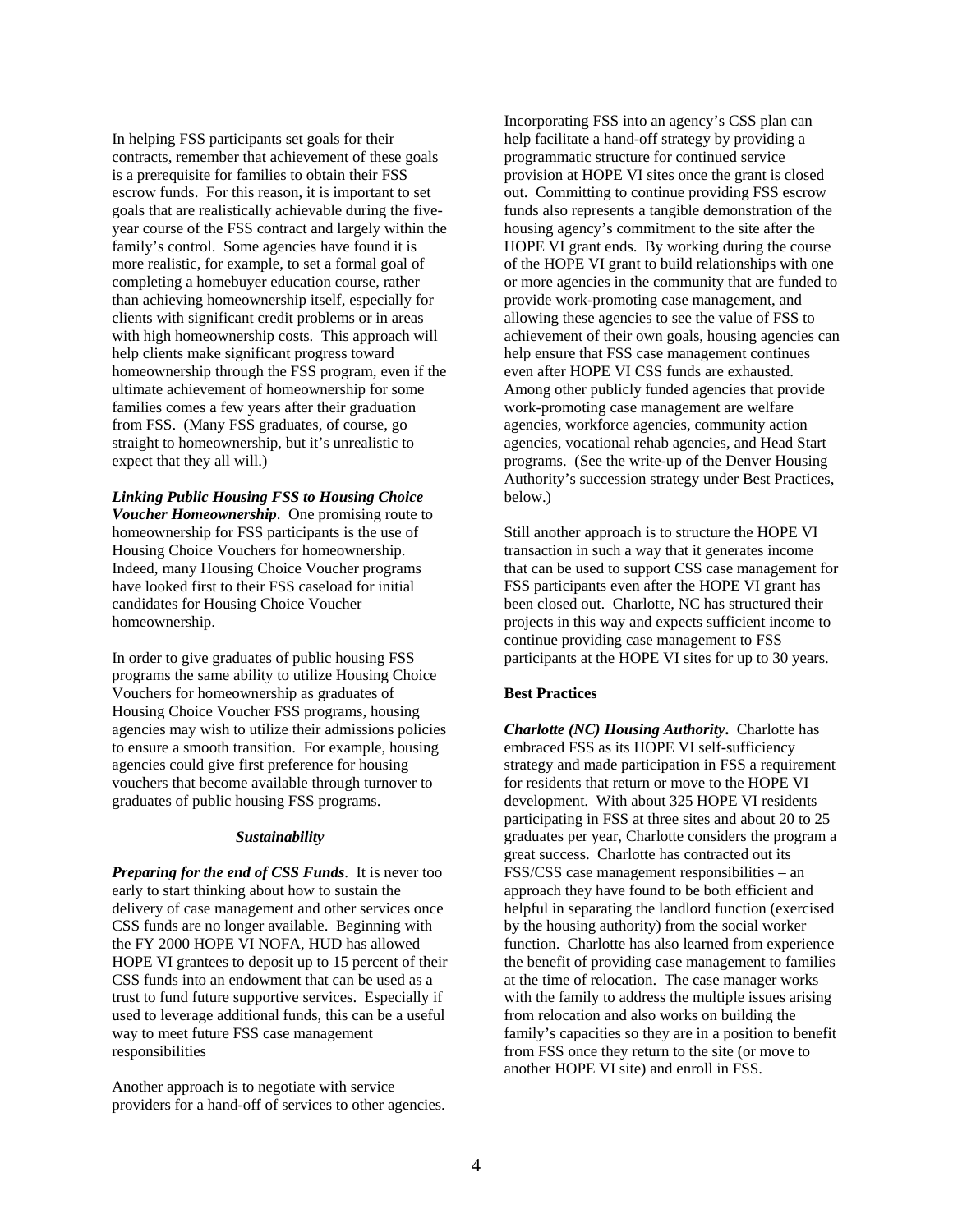In helping FSS participants set goals for their contracts, remember that achievement of these goals is a prerequisite for families to obtain their FSS escrow funds. For this reason, it is important to set goals that are realistically achievable during the fiveyear course of the FSS contract and largely within the family's control. Some agencies have found it is more realistic, for example, to set a formal goal of completing a homebuyer education course, rather than achieving homeownership itself, especially for clients with significant credit problems or in areas with high homeownership costs. This approach will help clients make significant progress toward homeownership through the FSS program, even if the ultimate achievement of homeownership for some families comes a few years after their graduation from FSS. (Many FSS graduates, of course, go straight to homeownership, but it's unrealistic to expect that they all will.)

*Linking Public Housing FSS to Housing Choice Voucher Homeownership*. One promising route to homeownership for FSS participants is the use of Housing Choice Vouchers for homeownership. Indeed, many Housing Choice Voucher programs have looked first to their FSS caseload for initial candidates for Housing Choice Voucher homeownership.

In order to give graduates of public housing FSS programs the same ability to utilize Housing Choice Vouchers for homeownership as graduates of Housing Choice Voucher FSS programs, housing agencies may wish to utilize their admissions policies to ensure a smooth transition. For example, housing agencies could give first preference for housing vouchers that become available through turnover to graduates of public housing FSS programs.

#### *Sustainability*

*Preparing for the end of CSS Funds*. It is never too early to start thinking about how to sustain the delivery of case management and other services once CSS funds are no longer available. Beginning with the FY 2000 HOPE VI NOFA, HUD has allowed HOPE VI grantees to deposit up to 15 percent of their CSS funds into an endowment that can be used as a trust to fund future supportive services. Especially if used to leverage additional funds, this can be a useful way to meet future FSS case management responsibilities

Another approach is to negotiate with service providers for a hand-off of services to other agencies.

Incorporating FSS into an agency's CSS plan can help facilitate a hand-off strategy by providing a programmatic structure for continued service provision at HOPE VI sites once the grant is closed out. Committing to continue providing FSS escrow funds also represents a tangible demonstration of the housing agency's commitment to the site after the HOPE VI grant ends. By working during the course of the HOPE VI grant to build relationships with one or more agencies in the community that are funded to provide work-promoting case management, and allowing these agencies to see the value of FSS to achievement of their own goals, housing agencies can help ensure that FSS case management continues even after HOPE VI CSS funds are exhausted. Among other publicly funded agencies that provide work-promoting case management are welfare agencies, workforce agencies, community action agencies, vocational rehab agencies, and Head Start programs. (See the write-up of the Denver Housing Authority's succession strategy under Best Practices, below.)

Still another approach is to structure the HOPE VI transaction in such a way that it generates income that can be used to support CSS case management for FSS participants even after the HOPE VI grant has been closed out. Charlotte, NC has structured their projects in this way and expects sufficient income to continue providing case management to FSS participants at the HOPE VI sites for up to 30 years.

#### **Best Practices**

*Charlotte (NC) Housing Authority***.** Charlotte has embraced FSS as its HOPE VI self-sufficiency strategy and made participation in FSS a requirement for residents that return or move to the HOPE VI development. With about 325 HOPE VI residents participating in FSS at three sites and about 20 to 25 graduates per year, Charlotte considers the program a great success. Charlotte has contracted out its FSS/CSS case management responsibilities – an approach they have found to be both efficient and helpful in separating the landlord function (exercised by the housing authority) from the social worker function. Charlotte has also learned from experience the benefit of providing case management to families at the time of relocation. The case manager works with the family to address the multiple issues arising from relocation and also works on building the family's capacities so they are in a position to benefit from FSS once they return to the site (or move to another HOPE VI site) and enroll in FSS.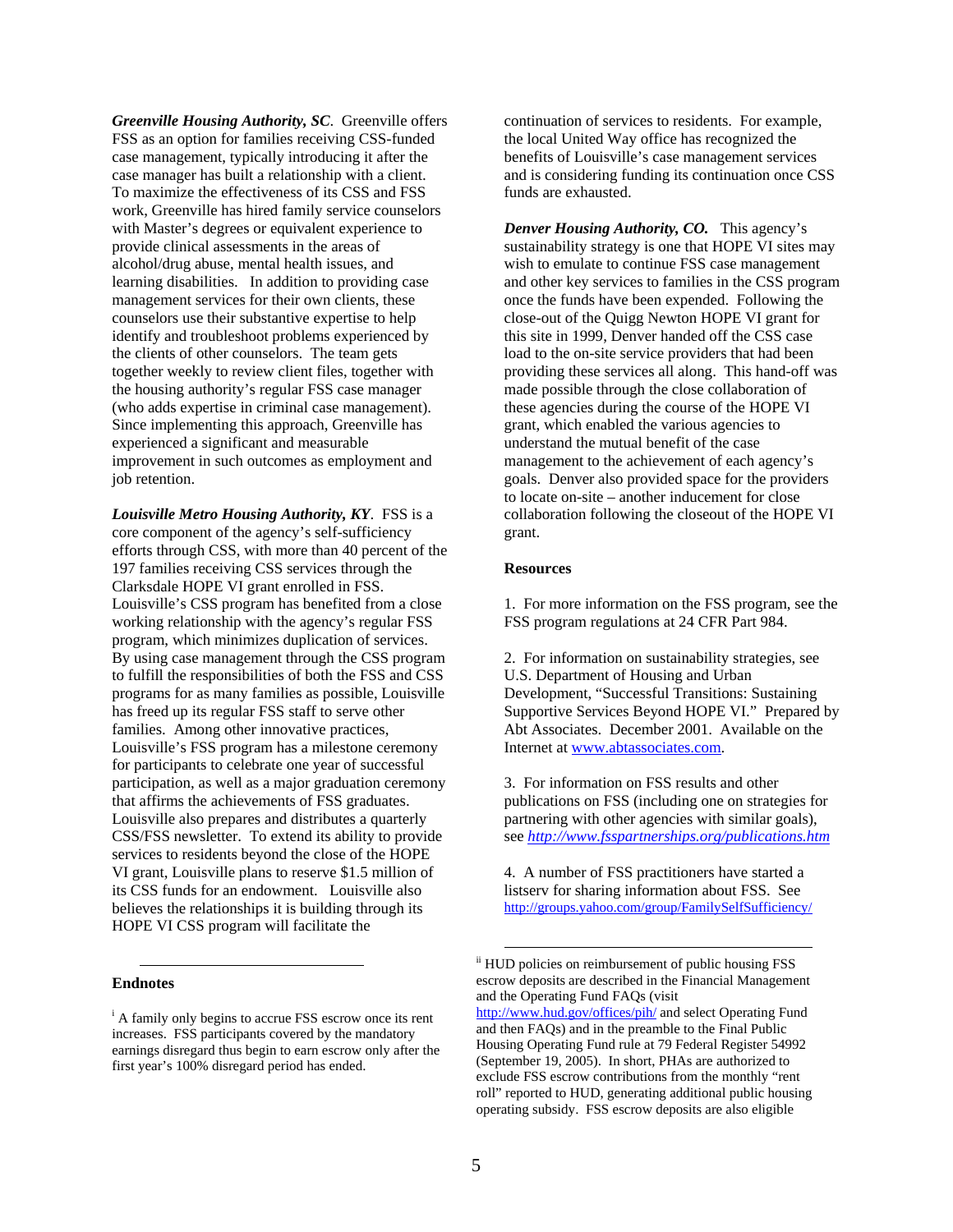*Greenville Housing Authority, SC*. Greenville offers FSS as an option for families receiving CSS-funded case management, typically introducing it after the case manager has built a relationship with a client. To maximize the effectiveness of its CSS and FSS work, Greenville has hired family service counselors with Master's degrees or equivalent experience to provide clinical assessments in the areas of alcohol/drug abuse, mental health issues, and learning disabilities. In addition to providing case management services for their own clients, these counselors use their substantive expertise to help identify and troubleshoot problems experienced by the clients of other counselors. The team gets together weekly to review client files, together with the housing authority's regular FSS case manager (who adds expertise in criminal case management). Since implementing this approach, Greenville has experienced a significant and measurable improvement in such outcomes as employment and job retention.

*Louisville Metro Housing Authority, KY*. FSS is a core component of the agency's self-sufficiency efforts through CSS, with more than 40 percent of the 197 families receiving CSS services through the Clarksdale HOPE VI grant enrolled in FSS. Louisville's CSS program has benefited from a close working relationship with the agency's regular FSS program, which minimizes duplication of services. By using case management through the CSS program to fulfill the responsibilities of both the FSS and CSS programs for as many families as possible, Louisville has freed up its regular FSS staff to serve other families. Among other innovative practices, Louisville's FSS program has a milestone ceremony for participants to celebrate one year of successful participation, as well as a major graduation ceremony that affirms the achievements of FSS graduates. Louisville also prepares and distributes a quarterly CSS/FSS newsletter. To extend its ability to provide services to residents beyond the close of the HOPE VI grant, Louisville plans to reserve \$1.5 million of its CSS funds for an endowment. Louisville also believes the relationships it is building through its HOPE VI CSS program will facilitate the

# $\overline{a}$ **Endnotes**

continuation of services to residents. For example, the local United Way office has recognized the benefits of Louisville's case management services and is considering funding its continuation once CSS funds are exhausted.

*Denver Housing Authority, CO.* This agency's sustainability strategy is one that HOPE VI sites may wish to emulate to continue FSS case management and other key services to families in the CSS program once the funds have been expended. Following the close-out of the Quigg Newton HOPE VI grant for this site in 1999, Denver handed off the CSS case load to the on-site service providers that had been providing these services all along. This hand-off was made possible through the close collaboration of these agencies during the course of the HOPE VI grant, which enabled the various agencies to understand the mutual benefit of the case management to the achievement of each agency's goals. Denver also provided space for the providers to locate on-site – another inducement for close collaboration following the closeout of the HOPE VI grant.

#### **Resources**

1. For more information on the FSS program, see the FSS program regulations at 24 CFR Part 984.

2. For information on sustainability strategies, see U.S. Department of Housing and Urban Development, "Successful Transitions: Sustaining Supportive Services Beyond HOPE VI." Prepared by Abt Associates. December 2001. Available on the Internet at [www.abtassociates.com.](http://www.abtassociates.com/)

3. For information on FSS results and other publications on FSS (including one on strategies for partnering with other agencies with similar goals), see *<http://www.fsspartnerships.org/publications.htm>*

4. A number of FSS practitioners have started a listserv for sharing information about FSS. See <http://groups.yahoo.com/group/FamilySelfSufficiency/>

<sup>&</sup>lt;sup>i</sup> A family only begins to accrue FSS escrow once its rent increases. FSS participants covered by the mandatory earnings disregard thus begin to earn escrow only after the first year's 100% disregard period has ended.

ii HUD policies on reimbursement of public housing FSS escrow deposits are described in the Financial Management and the Operating Fund FAQs (visit <http://www.hud.gov/offices/pih/> and select Operating Fund and then FAQs) and in the preamble to the Final Public

Housing Operating Fund rule at 79 Federal Register 54992 (September 19, 2005). In short, PHAs are authorized to exclude FSS escrow contributions from the monthly "rent roll" reported to HUD, generating additional public housing operating subsidy. FSS escrow deposits are also eligible